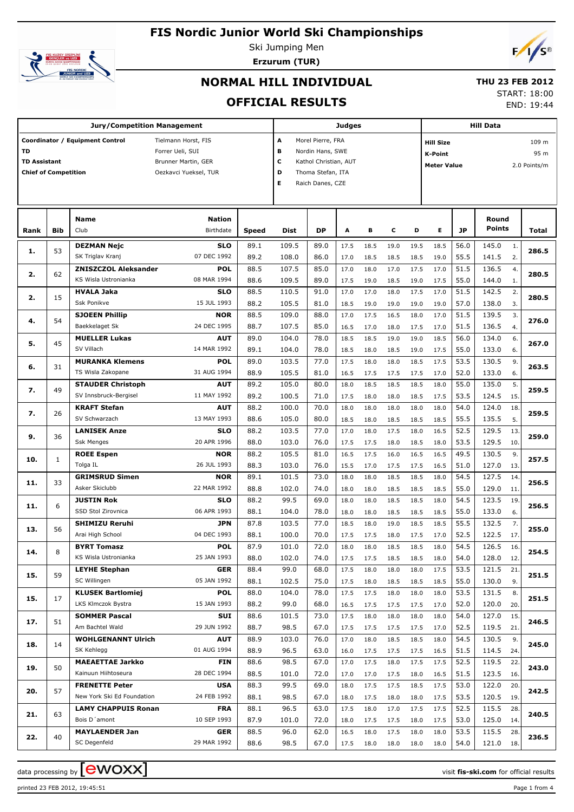## **FIS Nordic Junior World Ski Championships**



Ski Jumping Men **Erzurum (TUR)**



# **NORMAL HILL INDIVIDUAL**

## **THU 23**

**OFFICIAL RESULTS**

|  | HU 23 FEB 2012 |  |  |
|--|----------------|--|--|
|  | START: 18:00   |  |  |
|  |                |  |  |

END: 19:44

|                             |            | Jury/Competition Management                    |                           | <b>Judges</b> |                |                       |              |              |              | <b>Hill Data</b> |                    |              |                |            |              |  |  |
|-----------------------------|------------|------------------------------------------------|---------------------------|---------------|----------------|-----------------------|--------------|--------------|--------------|------------------|--------------------|--------------|----------------|------------|--------------|--|--|
|                             |            | Coordinator / Equipment Control                | Tielmann Horst, FIS       |               | A              | Morel Pierre, FRA     |              |              |              |                  | <b>Hill Size</b>   |              |                |            | 109 m        |  |  |
| <b>TD</b>                   |            |                                                | Forrer Ueli, SUI          |               | в              | Nordin Hans, SWE      |              |              |              |                  | <b>K-Point</b>     |              |                |            | 95 m         |  |  |
| <b>TD Assistant</b>         |            |                                                | Brunner Martin, GER       |               | с              | Kathol Christian, AUT |              |              |              |                  | <b>Meter Value</b> |              |                |            | 2.0 Points/m |  |  |
| <b>Chief of Competition</b> |            |                                                | Oezkavci Yueksel, TUR     |               | D              | Thoma Stefan, ITA     |              |              |              |                  |                    |              |                |            |              |  |  |
|                             |            |                                                |                           |               | E              | Raich Danes, CZE      |              |              |              |                  |                    |              |                |            |              |  |  |
|                             |            |                                                |                           |               |                |                       |              |              |              |                  |                    |              |                |            |              |  |  |
|                             |            |                                                |                           |               |                |                       |              |              |              |                  |                    |              |                |            |              |  |  |
|                             |            | <b>Name</b>                                    | <b>Nation</b>             |               |                |                       |              |              |              |                  |                    |              | Round          |            |              |  |  |
| Rank                        | <b>Bib</b> | Club                                           | Birthdate                 | Speed         | <b>Dist</b>    | <b>DP</b>             | A            | в            | с            | D                | Е                  | <b>JP</b>    | Points         |            | Total        |  |  |
| 1.                          | 53         | <b>DEZMAN Nejc</b>                             | <b>SLO</b>                | 89.1          | 109.5          | 89.0                  | 17.5         | 18.5         | 19.0         | 19.5             | 18.5               | 56.0         | 145.0          | 1.         | 286.5        |  |  |
|                             |            | SK Triglav Kranj                               | 07 DEC 1992               | 89.2          | 108.0          | 86.0                  | 17.0         | 18.5         | 18.5         | 18.5             | 19.0               | 55.5         | 141.5          | 2.         |              |  |  |
| 2.                          | 62         | <b>ZNISZCZOL Aleksander</b>                    | <b>POL</b>                | 88.5          | 107.5          | 85.0                  | 17.0         | 18.0         | 17.0         | 17.5             | 17.0               | 51.5         | 136.5          | 4.         | 280.5        |  |  |
|                             |            | KS Wisla Ustronianka                           | 08 MAR 1994               | 88.6          | 109.5          | 89.0                  | 17.5         | 19.0         | 18.5         | 19.0             | 17.5               | 55.0         | 144.0          | 1.         |              |  |  |
| 2.                          | 15         | <b>HVALA Jaka</b>                              | <b>SLO</b>                | 88.5          | 110.5          | 91.0                  | 17.0         | 17.0         | 18.0         | 17.5             | 17.0               | 51.5         | 142.5          | 2.         | 280.5        |  |  |
|                             |            | <b>Ssk Ponikve</b>                             | 15 JUL 1993               | 88.2          | 105.5          | 81.0                  | 18.5         | 19.0         | 19.0         | 19.0             | 19.0               | 57.0         | 138.0          | 3.         |              |  |  |
| 4.                          | 54         | <b>SJOEEN Phillip</b>                          | <b>NOR</b>                | 88.5          | 109.0          | 88.0                  | 17.0         | 17.5         | 16.5         | 18.0             | 17.0               | 51.5         | 139.5          | 3.         | 276.0        |  |  |
|                             |            | Baekkelaget Sk                                 | 24 DEC 1995               | 88.7          | 107.5          | 85.0                  | 16.5         | 17.0         | 18.0         | 17.5             | 17.0               | 51.5         | 136.5          | 4.         |              |  |  |
| 5.                          | 45         | <b>MUELLER Lukas</b>                           | <b>AUT</b>                | 89.0          | 104.0          | 78.0                  | 18.5         | 18.5         | 19.0         | 19.0             | 18.5               | 56.0         | 134.0          | 6.         | 267.0        |  |  |
|                             |            | SV Villach                                     | 14 MAR 1992               | 89.1          | 104.0          | 78.0                  | 18.5         | 18.0         | 18.5         | 19.0             | 17.5               | 55.0         | 133.0          | 6.         |              |  |  |
| 6.                          | 31         | <b>MURANKA Klemens</b><br>TS Wisla Zakopane    | <b>POL</b><br>31 AUG 1994 | 89.0<br>88.9  | 103.5<br>105.5 | 77.0<br>81.0          | 17.5         | 18.0         | 18.0         | 18.5             | 17.5               | 53.5<br>52.0 | 130.5<br>133.0 | 9.<br>6.   | 263.5        |  |  |
|                             |            | <b>STAUDER Christoph</b>                       | <b>AUT</b>                | 89.2          | 105.0          | 80.0                  | 16.5<br>18.0 | 17.5<br>18.5 | 17.5         | 17.5<br>18.5     | 17.0<br>18.0       | 55.0         | 135.0          | 5.         |              |  |  |
| 7.                          | 49         | SV Innsbruck-Bergisel                          | 11 MAY 1992               | 89.2          | 100.5          | 71.0                  | 17.5         | 18.0         | 18.5<br>18.0 | 18.5             | 17.5               | 53.5         | 124.5          | 15.        | 259.5        |  |  |
|                             |            | <b>KRAFT Stefan</b>                            | <b>AUT</b>                | 88.2          | 100.0          | 70.0                  | 18.0         | 18.0         | 18.0         | 18.0             | 18.0               | 54.0         | 124.0          | 18.        |              |  |  |
| 7.                          | 26         | SV Schwarzach                                  | 13 MAY 1993               | 88.6          | 105.0          | 80.0                  | 18.5         | 18.0         | 18.5         | 18.5             | 18.5               | 55.5         | 135.5          | 5.         | 259.5        |  |  |
|                             |            | <b>LANISEK Anze</b>                            | <b>SLO</b>                | 88.2          | 103.5          | 77.0                  | 17.0         | 18.0         | 17.5         | 18.0             | 16.5               | 52.5         | 129.5          | 13.        |              |  |  |
| 9.                          | 36         | <b>Ssk Menges</b>                              | 20 APR 1996               | 88.0          | 103.0          | 76.0                  | 17.5         | 17.5         | 18.0         | 18.5             | 18.0               | 53.5         | 129.5          | 10.        | 259.0        |  |  |
|                             |            | <b>ROEE Espen</b>                              | <b>NOR</b>                | 88.2          | 105.5          | 81.0                  | 16.5         | 17.5         | 16.0         | 16.5             | 16.5               | 49.5         | 130.5          | 9.         |              |  |  |
| 10.                         | 1          | Tolga IL                                       | 26 JUL 1993               | 88.3          | 103.0          | 76.0                  | 15.5         | 17.0         | 17.5         | 17.5             | 16.5               | 51.0         | 127.0          | 13.        | 257.5        |  |  |
|                             |            | <b>GRIMSRUD Simen</b>                          | <b>NOR</b>                | 89.1          | 101.5          | 73.0                  | 18.0         | 18.0         | 18.5         | 18.5             | 18.0               | 54.5         | 127.5          | 14.        |              |  |  |
| 11.                         | 33         | Asker Skiclubb                                 | 22 MAR 1992               | 88.8          | 102.0          | 74.0                  | 18.0         | 18.0         | 18.5         | 18.5             | 18.5               | 55.0         | 129.0          | 11.        | 256.5        |  |  |
|                             |            | <b>JUSTIN Rok</b>                              | <b>SLO</b>                | 88.2          | 99.5           | 69.0                  | 18.0         | 18.0         | 18.5         | 18.5             | 18.0               | 54.5         | 123.5          | 19.        |              |  |  |
| 11.                         | 6          | SSD Stol Zirovnica                             | 06 APR 1993               | 88.1          | 104.0          | 78.0                  | 18.0         | 18.0         | 18.5         | 18.5             | 18.5               | 55.0         | 133.0          | 6.         | 256.5        |  |  |
| 13.                         | 56         | <b>SHIMIZU Reruhi</b>                          | JPN                       | 87.8          | 103.5          | 77.0                  | 18.5         | 18.0         | 19.0         | 18.5             | 18.5               | 55.5         | 132.5          | 7.         | 255.0        |  |  |
|                             |            | Arai High School                               | 04 DEC 1993               | 88.1          | 100.0          | 70.0                  | 17.5         | 17.5         | 18.0         | 17.5             | 17.0               | 52.5         | 122.5          | 17.        |              |  |  |
| 14.                         | 8          | <b>BYRT Tomasz</b>                             | <b>POL</b>                | 87.9          | 101.0          | 72.0                  | 18.0         | 18.0         | 18.5         | 18.5             | 18.0               | 54.5         | 126.5          | 16.        | 254.5        |  |  |
|                             |            | KS Wisla Ustronianka                           | 25 JAN 1993               | 88.0          | 102.0          | 74.0                  | 17.5         | 17.5         | 18.5         | 18.5             | 18.0               | 54.0         | 128.0          | 12.        |              |  |  |
| 15.                         | 59         | <b>LEYHE Stephan</b>                           | <b>GER</b>                | 88.4          | 99.0           | 68.0                  | 17.5         | 18.0         | 18.0         | 18.0             | 17.5               | 53.5         | 121.5          | 21.        | 251.5        |  |  |
|                             |            | SC Willingen                                   | 05 JAN 1992               | 88.1          | 102.5          | 75.0                  | 17.5         | 18.0         | 18.5         | 18.5             | 18.5               | 55.0         | 130.0          | 9.         |              |  |  |
| 15.                         | 17         | <b>KLUSEK Bartlomiej</b>                       | <b>POL</b>                | 88.0          | 104.0          | 78.0                  | 17.5         | 17.5         | 18.0         | 18.0             | 18.0               | 53.5         | 131.5          | 8.         | 251.5        |  |  |
|                             |            | LKS Klmczok Bystra                             | 15 JAN 1993               | 88.2          | 99.0           | 68.0                  | 16.5         | 17.5         | 17.5         | 17.5             | 17.0               | 52.0         | 120.0          | 20.        |              |  |  |
| 17.                         | 51         | <b>SOMMER Pascal</b>                           | SUI                       | 88.6          | 101.5          | 73.0                  | 17.5         | 18.0         | 18.0         | 18.0             | 18.0               | 54.0         | 127.0          | 15.        | 246.5        |  |  |
|                             |            | Am Bachtel Wald                                | 29 JUN 1992               | 88.7          | 98.5           | 67.0                  | 17.5         | 17.5         | 17.5         | 17.5             | 17.0               | 52.5         | 119.5          | 21.        |              |  |  |
| 18.                         | 14         | <b>WOHLGENANNT Ulrich</b><br>SK Kehlegg        | AUT<br>01 AUG 1994        | 88.9          | 103.0<br>96.5  | 76.0<br>63.0          | 17.0         | 18.0         | 18.5         | 18.5             | 18.0               | 54.5<br>51.5 | 130.5<br>114.5 | 9.         | 245.0        |  |  |
|                             |            |                                                |                           | 88.9          |                |                       | 16.0         | 17.5         | 17.5         | 17.5             | 16.5               |              |                | 24.        |              |  |  |
| 19.                         | 50         | <b>MAEAETTAE Jarkko</b><br>Kainuun Hiihtoseura | <b>FIN</b><br>28 DEC 1994 | 88.6<br>88.5  | 98.5<br>101.0  | 67.0<br>72.0          | 17.0         | 17.5         | 18.0<br>17.5 | 17.5<br>18.0     | 17.5<br>16.5       | 52.5<br>51.5 | 119.5<br>123.5 | 22.<br>16. | 243.0        |  |  |
|                             |            | <b>FRENETTE Peter</b>                          | <b>USA</b>                | 88.3          | 99.5           | 69.0                  | 17.0<br>18.0 | 17.0<br>17.5 | 17.5         | 18.5             | 17.5               | 53.0         | 122.0          | 20.        |              |  |  |
| 20.                         | 57         | New York Ski Ed Foundation                     | 24 FEB 1992               | 88.1          | 98.5           | 67.0                  | 18.0         | 17.5         | 18.0         | 18.0             | 17.5               | 53.5         | 120.5          | 19.        | 242.5        |  |  |
|                             |            | <b>LAMY CHAPPUIS Ronan</b>                     | <b>FRA</b>                | 88.1          | 96.5           | 63.0                  | 17.5         | 18.0         | 17.0         | 17.5             | 17.5               | 52.5         | 115.5          | 28.        |              |  |  |
| 21.                         | 63         | Bois D'amont                                   | 10 SEP 1993               | 87.9          | 101.0          | 72.0                  | 18.0         | 17.5         | 17.5         | 18.0             | 17.5               | 53.0         | 125.0          | 14.        | 240.5        |  |  |
|                             |            | <b>MAYLAENDER Jan</b>                          | <b>GER</b>                | 88.5          | 96.0           | 62.0                  | 16.5         | 18.0         | 17.5         | 18.0             | 18.0               | 53.5         | 115.5          | 28.        |              |  |  |
| 22.                         | 40         | SC Degenfeld                                   | 29 MAR 1992               | 88.6          | 98.5           | 67.0                  | 17.5         | 18.0         | 18.0         | 18.0             | 18.0               | 54.0         | 121.0 18.      |            | 236.5        |  |  |

data processing by **CWOXX** and  $\overline{A}$  and  $\overline{B}$  wisit **fis-ski.com** for official results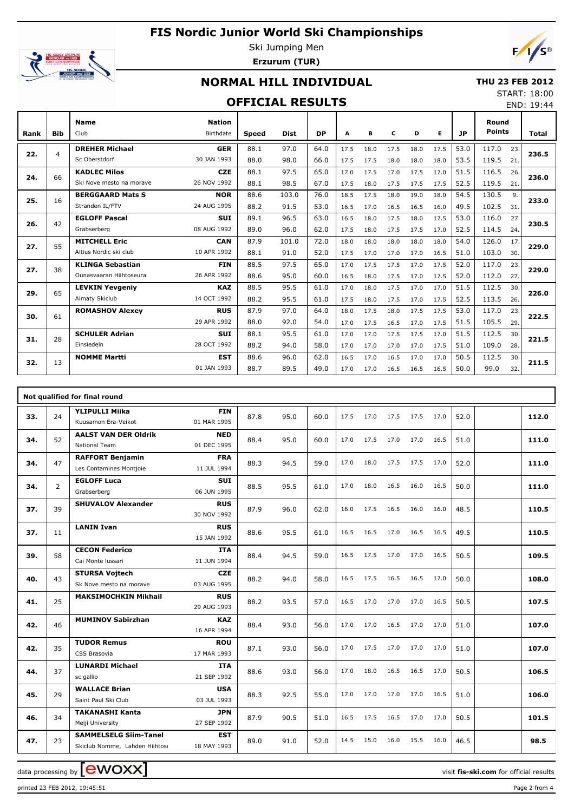# **FIS Nordic Junior World Ski Championships**



Ski Jumping Men **Erzurum (TUR)**



## **NORMAL HILL INDIVIDUAL**

### **THU 23 FEB 2012**

#### **OFFICIAL RESULTS**

START: 18:00 END: 19:44

| Rank | <b>Bib</b> | <b>Name</b><br>Club      | <b>Nation</b><br>Birthdate | Speed | <b>Dist</b> | <b>DP</b> | А    | в    | c    | D    | Е    | <b>JP</b> | Round<br><b>Points</b> |     | Total |
|------|------------|--------------------------|----------------------------|-------|-------------|-----------|------|------|------|------|------|-----------|------------------------|-----|-------|
|      |            | <b>DREHER Michael</b>    | <b>GER</b>                 | 88.1  | 97.0        | 64.0      | 17.5 | 18.0 | 17.5 | 18.0 | 17.5 | 53.0      | 117.0                  | 23. |       |
| 22.  | 4          | Sc Oberstdorf            | 30 JAN 1993                | 88.0  | 98.0        | 66.0      | 17.5 | 17.5 | 18.0 | 18.0 | 18.0 | 53.5      | 119.5                  | 21. | 236.5 |
| 24.  | 66         | <b>KADLEC Milos</b>      | <b>CZE</b>                 | 88.1  | 97.5        | 65.0      | 17.0 | 17.5 | 17.0 | 17.5 | 17.0 | 51.5      | 116.5                  | 26. | 236.0 |
|      |            | Skl Nove mesto na morave | 26 NOV 1992                | 88.1  | 98.5        | 67.0      | 17.5 | 18.0 | 17.5 | 17.5 | 17.5 | 52.5      | 119.5                  | 21. |       |
| 25.  | 16         | <b>BERGGAARD Mats S</b>  | <b>NOR</b>                 | 88.6  | 103.0       | 76.0      | 18.5 | 17.5 | 18.0 | 19.0 | 18.0 | 54.5      | 130.5                  | 9.  | 233.0 |
|      |            | Stranden IL/FTV          | 24 AUG 1995                | 88.2  | 91.5        | 53.0      | 16.5 | 17.0 | 16.5 | 16.5 | 16.0 | 49.5      | 102.5                  | 31. |       |
| 26.  | 42         | <b>EGLOFF Pascal</b>     | <b>SUI</b>                 | 89.1  | 96.5        | 63.0      | 16.5 | 18.0 | 17.5 | 18.0 | 17.5 | 53.0      | 116.0                  | 27. | 230.5 |
|      |            | Grabserberg              | 08 AUG 1992                | 89.0  | 96.0        | 62.0      | 17.5 | 18.0 | 17.5 | 17.5 | 17.0 | 52.5      | 114.5                  | 24. |       |
| 27.  | 55         | <b>MITCHELL Eric</b>     | <b>CAN</b>                 | 87.9  | 101.0       | 72.0      | 18.0 | 18.0 | 18.0 | 18.0 | 18.0 | 54.0      | 126.0                  | 17. | 229.0 |
|      |            | Altius Nordic ski club   | 10 APR 1992                | 88.1  | 91.0        | 52.0      | 17.5 | 17.0 | 17.0 | 17.0 | 16.5 | 51.0      | 103.0                  | 30. |       |
| 27.  | 38         | <b>KLINGA Sebastian</b>  | <b>FIN</b>                 | 88.5  | 97.5        | 65.0      | 17.0 | 17.5 | 17.5 | 17.0 | 17.5 | 52.0      | 117.0                  | 23. | 229.0 |
|      |            | Qunasyaaran Hiihtoseura  | 26 APR 1992                | 88.6  | 95.0        | 60.0      | 16.5 | 18.0 | 17.5 | 17.0 | 17.5 | 52.0      | 112.0                  | 27. |       |
| 29.  | 65         | <b>LEVKIN Yevgeniy</b>   | <b>KAZ</b>                 | 88.5  | 95.5        | 61.0      | 17.0 | 18.0 | 17.5 | 17.0 | 17.0 | 51.5      | 112.5                  | 30. | 226.0 |
|      |            | Almaty Skiclub           | 14 OCT 1992                | 88.2  | 95.5        | 61.0      | 17.5 | 18.0 | 17.5 | 17.0 | 17.5 | 52.5      | 113.5                  | 26. |       |
| 30.  | 61         | <b>ROMASHOV Alexey</b>   | <b>RUS</b>                 | 87.9  | 97.0        | 64.0      | 18.0 | 17.5 | 18.0 | 17.5 | 17.5 | 53.0      | 117.0                  | 23. | 222.5 |
|      |            |                          | 29 APR 1992                | 88.0  | 92.0        | 54.0      | 17.0 | 17.5 | 16.5 | 17.0 | 17.5 | 51.5      | 105.5                  | 29. |       |
| 31.  | 28         | <b>SCHULER Adrian</b>    | <b>SUI</b>                 | 88.1  | 95.5        | 61.0      | 17.0 | 17.0 | 17.5 | 17.5 | 17.0 | 51.5      | 112.5                  | 30. | 221.5 |
|      |            | Einsiedeln               | 28 OCT 1992                | 88.2  | 94.0        | 58.0      | 17.0 | 17.0 | 17.0 | 17.0 | 17.5 | 51.0      | 109.0                  | 28. |       |
| 32.  | 13         | <b>NOMME Martti</b>      | <b>EST</b>                 | 88.6  | 96.0        | 62.0      | 16.5 | 17.0 | 16.5 | 17.0 | 17.0 | 50.5      | 112.5                  | 30. | 211.5 |
|      |            |                          | 01 JAN 1993                | 88.7  | 89.5        | 49.0      | 17.0 | 17.0 | 16.5 | 16.5 | 16.5 | 50.0      | 99.0                   | 32. |       |

|     |    | Not qualified for final round                                  |                           |      |      |      |      |      |      |      |      |      |       |
|-----|----|----------------------------------------------------------------|---------------------------|------|------|------|------|------|------|------|------|------|-------|
| 33. | 24 | <b>YLIPULLI Miika</b><br>Kuusamon Era-Veikot                   | <b>FIN</b><br>01 MAR 1995 | 87.8 | 95.0 | 60.0 | 17.5 | 17.0 | 17.5 | 17.5 | 17.0 | 52.0 | 112.0 |
| 34. | 52 | <b>AALST VAN DER Oldrik</b><br>National Team                   | <b>NED</b><br>01 DEC 1995 | 88.4 | 95.0 | 60.0 | 17.0 | 17.5 | 17.0 | 17.0 | 16.5 | 51.0 | 111.0 |
| 34. | 47 | <b>RAFFORT Benjamin</b><br>Les Contamines Montjoie             | <b>FRA</b><br>11 JUL 1994 | 88.3 | 94.5 | 59.0 | 17.0 | 18.0 | 17.5 | 17.5 | 17.0 | 52.0 | 111.0 |
| 34. | 2  | <b>EGLOFF Luca</b><br>Grabserberg                              | <b>SUI</b><br>06 JUN 1995 | 88.5 | 95.5 | 61.0 | 17.0 | 18.0 | 16.5 | 16.0 | 16.5 | 50.0 | 111.0 |
| 37. | 39 | <b>SHUVALOV Alexander</b>                                      | <b>RUS</b><br>30 NOV 1992 | 87.9 | 96.0 | 62.0 | 16.0 | 17.5 | 16.5 | 16.0 | 16.0 | 48.5 | 110.5 |
| 37. | 11 | <b>LANIN Ivan</b>                                              | <b>RUS</b><br>15 JAN 1992 | 88.6 | 95.5 | 61.0 | 16.5 | 16.5 | 17.0 | 16.5 | 16.5 | 49.5 | 110.5 |
| 39. | 58 | <b>CECON Federico</b><br>Cai Monte Iussari                     | <b>ITA</b><br>11 JUN 1994 | 88.4 | 94.5 | 59.0 | 16.5 | 17.5 | 17.0 | 17.0 | 16.5 | 50.5 | 109.5 |
| 40. | 43 | <b>STURSA Vojtech</b><br>Sk Nove mesto na morave               | <b>CZE</b><br>03 AUG 1995 | 88.2 | 94.0 | 58.0 | 16.5 | 17.5 | 16.5 | 16.5 | 17.0 | 50.0 | 108.0 |
| 41. | 25 | <b>MAKSIMOCHKIN Mikhail</b>                                    | <b>RUS</b><br>29 AUG 1993 | 88.2 | 93.5 | 57.0 | 16.5 | 17.0 | 17.0 | 17.0 | 16.5 | 50.5 | 107.5 |
| 42. | 46 | <b>MUMINOV Sabirzhan</b>                                       | <b>KAZ</b><br>16 APR 1994 | 88.4 | 93.0 | 56.0 | 17.0 | 17.0 | 16.5 | 17.0 | 17.0 | 51.0 | 107.0 |
| 42. | 35 | <b>TUDOR Remus</b><br>CSS Brasovia                             | <b>ROU</b><br>17 MAR 1993 | 87.1 | 93.0 | 56.0 | 17.0 | 17.5 | 17.0 | 17.0 | 17.0 | 51.0 | 107.0 |
| 44. | 37 | <b>LUNARDI Michael</b><br>sc gallio                            | <b>ITA</b><br>21 SEP 1992 | 88.6 | 93.0 | 56.0 | 17.0 | 18.0 | 16.5 | 16.5 | 17.0 | 50.5 | 106.5 |
| 45. | 29 | <b>WALLACE Brian</b><br>Saint Paul Ski Club                    | <b>USA</b><br>03 JUL 1993 | 88.3 | 92.5 | 55.0 | 17.0 | 17.0 | 17.0 | 17.0 | 16.5 | 51.0 | 106.0 |
| 46. | 34 | <b>TAKANASHI Kanta</b><br>Meiji University                     | JPN<br>27 SEP 1992        | 87.9 | 90.5 | 51.0 | 16.5 | 17.5 | 16.5 | 17.0 | 17.0 | 50.5 | 101.5 |
| 47. | 23 | <b>SAMMELSELG Siim-Tanel</b><br>Skiclub Nomme, Lahden Hiihtose | <b>EST</b><br>18 MAY 1993 | 89.0 | 91.0 | 52.0 | 14.5 | 15.0 | 16.0 | 15.5 | 16.0 | 46.5 | 98.5  |

data processing by  $\boxed{\text{ewOX}}$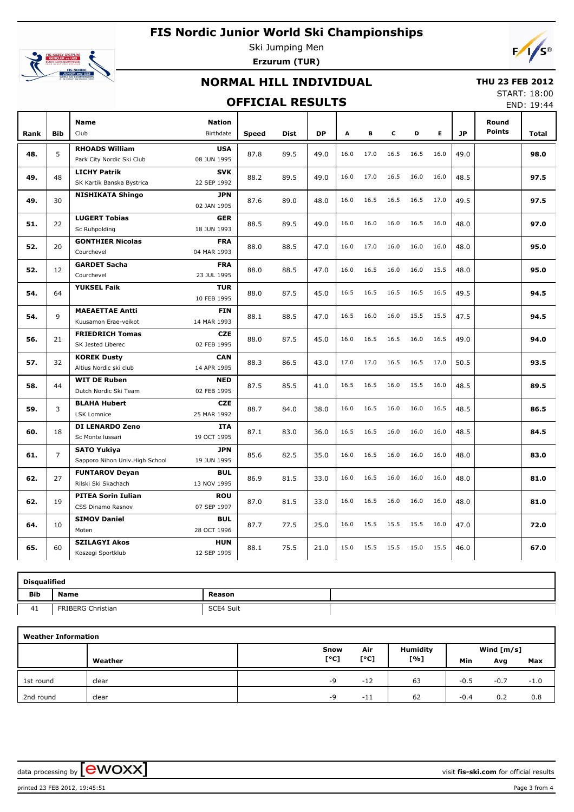# **FIS Nordic Junior World Ski Championships**



Ski Jumping Men **Erzurum (TUR)**



## **NORMAL HILL INDIVIDUAL**

#### **THU 23 FEB 2012**

#### **OFFICIAL RESULTS**

START: 18:00 END: 19:44

|      |                |                                 |                            |              |             |           |      |      |      |      |      |           |                        | ----         |
|------|----------------|---------------------------------|----------------------------|--------------|-------------|-----------|------|------|------|------|------|-----------|------------------------|--------------|
| Rank | <b>Bib</b>     | <b>Name</b><br>Club             | <b>Nation</b><br>Birthdate | <b>Speed</b> | <b>Dist</b> | <b>DP</b> | A    | B    | c    | D    | Е    | <b>JP</b> | Round<br><b>Points</b> | <b>Total</b> |
|      |                | <b>RHOADS William</b>           | <b>USA</b>                 |              |             |           |      |      |      |      |      |           |                        |              |
| 48.  | 5              | Park City Nordic Ski Club       | 08 JUN 1995                | 87.8         | 89.5        | 49.0      | 16.0 | 17.0 | 16.5 | 16.5 | 16.0 | 49.0      |                        | 98.0         |
|      |                | <b>LICHY Patrik</b>             | <b>SVK</b>                 |              |             |           |      |      |      |      |      |           |                        |              |
| 49.  | 48             | SK Kartik Banska Bystrica       | 22 SEP 1992                | 88.2         | 89.5        | 49.0      | 16.0 | 17.0 | 16.5 | 16.0 | 16.0 | 48.5      |                        | 97.5         |
| 49.  | 30             | <b>NISHIKATA Shingo</b>         | <b>JPN</b>                 | 87.6         | 89.0        | 48.0      | 16.0 | 16.5 | 16.5 | 16.5 | 17.0 | 49.5      |                        | 97.5         |
|      |                |                                 | 02 JAN 1995                |              |             |           |      |      |      |      |      |           |                        |              |
| 51.  | 22             | <b>LUGERT Tobias</b>            | <b>GER</b>                 | 88.5         | 89.5        | 49.0      | 16.0 | 16.0 | 16.0 | 16.5 | 16.0 | 48.0      |                        | 97.0         |
|      |                | Sc Ruhpolding                   | 18 JUN 1993                |              |             |           |      |      |      |      |      |           |                        |              |
| 52.  | 20             | <b>GONTHIER Nicolas</b>         | <b>FRA</b>                 | 88.0         | 88.5        | 47.0      | 16.0 | 17.0 | 16.0 | 16.0 | 16.0 | 48.0      |                        | 95.0         |
|      |                | Courchevel                      | 04 MAR 1993                |              |             |           |      |      |      |      |      |           |                        |              |
| 52.  | 12             | <b>GARDET Sacha</b>             | <b>FRA</b>                 | 88.0         | 88.5        | 47.0      | 16.0 | 16.5 | 16.0 | 16.0 | 15.5 | 48.0      |                        | 95.0         |
|      |                | Courchevel                      | 23 JUL 1995                |              |             |           |      |      |      |      |      |           |                        |              |
| 54.  | 64             | <b>YUKSEL Faik</b>              | <b>TUR</b><br>10 FEB 1995  | 88.0         | 87.5        | 45.0      | 16.5 | 16.5 | 16.5 | 16.5 | 16.5 | 49.5      |                        | 94.5         |
|      |                | <b>MAEAETTAE Antti</b>          | <b>FIN</b>                 |              |             |           |      |      |      |      |      |           |                        |              |
| 54.  | 9              | Kuusamon Erae-veikot            | 14 MAR 1993                | 88.1         | 88.5        | 47.0      | 16.5 | 16.0 | 16.0 | 15.5 | 15.5 | 47.5      |                        | 94.5         |
|      |                | <b>FRIEDRICH Tomas</b>          | <b>CZE</b>                 |              |             |           |      |      |      |      |      |           |                        |              |
| 56.  | 21             | SK Jested Liberec               | 02 FEB 1995                | 88.0         | 87.5        | 45.0      | 16.0 | 16.5 | 16.5 | 16.0 | 16.5 | 49.0      |                        | 94.0         |
|      |                | <b>KOREK Dusty</b>              | <b>CAN</b>                 |              |             |           |      |      |      |      |      |           |                        |              |
| 57.  | 32             | Altius Nordic ski club          | 14 APR 1995                | 88.3         | 86.5        | 43.0      | 17.0 | 17.0 | 16.5 | 16.5 | 17.0 | 50.5      |                        | 93.5         |
|      |                | <b>WIT DE Ruben</b>             | <b>NED</b>                 |              |             |           |      |      |      |      |      |           |                        |              |
| 58.  | 44             | Dutch Nordic Ski Team           | 02 FEB 1995                | 87.5         | 85.5        | 41.0      | 16.5 | 16.5 | 16.0 | 15.5 | 16.0 | 48.5      |                        | 89.5         |
|      |                | <b>BLAHA Hubert</b>             | <b>CZE</b>                 |              |             |           |      |      |      |      |      |           |                        |              |
| 59.  | 3              | <b>LSK Lomnice</b>              | 25 MAR 1992                | 88.7         | 84.0        | 38.0      | 16.0 | 16.5 | 16.0 | 16.0 | 16.5 | 48.5      |                        | 86.5         |
| 60.  | 18             | <b>DI LENARDO Zeno</b>          | <b>ITA</b>                 | 87.1         | 83.0        | 36.0      | 16.5 | 16.5 | 16.0 | 16.0 | 16.0 | 48.5      |                        | 84.5         |
|      |                | Sc Monte Iussari                | 19 OCT 1995                |              |             |           |      |      |      |      |      |           |                        |              |
| 61.  | $\overline{7}$ | <b>SATO Yukiva</b>              | <b>JPN</b>                 | 85.6         | 82.5        | 35.0      | 16.0 | 16.5 | 16.0 | 16.0 | 16.0 | 48.0      |                        | 83.0         |
|      |                | Sapporo Nihon Univ. High School | 19 JUN 1995                |              |             |           |      |      |      |      |      |           |                        |              |
| 62.  | 27             | <b>FUNTAROV Devan</b>           | <b>BUL</b>                 | 86.9         | 81.5        | 33.0      | 16.0 | 16.5 | 16.0 | 16.0 | 16.0 | 48.0      |                        | 81.0         |
|      |                | Rilski Ski Skachach             | 13 NOV 1995                |              |             |           |      |      |      |      |      |           |                        |              |
| 62.  | 19             | <b>PITEA Sorin Iulian</b>       | <b>ROU</b>                 | 87.0         | 81.5        | 33.0      | 16.0 | 16.5 | 16.0 | 16.0 | 16.0 | 48.0      |                        | 81.0         |
|      |                | CSS Dinamo Rasnov               | 07 SEP 1997                |              |             |           |      |      |      |      |      |           |                        |              |
| 64.  | 10             | <b>SIMOV Daniel</b>             | <b>BUL</b>                 | 87.7         | 77.5        | 25.0      | 16.0 | 15.5 | 15.5 | 15.5 | 16.0 | 47.0      |                        | 72.0         |
|      |                | Moten                           | 28 OCT 1996                |              |             |           |      |      |      |      |      |           |                        |              |
| 65.  | 60             | <b>SZILAGYI Akos</b>            | <b>HUN</b>                 | 88.1         | 75.5        | 21.0      | 15.0 | 15.5 | 15.5 | 15.0 | 15.5 | 46.0      |                        | 67.0         |
|      |                | Koszegi Sportklub               | 12 SEP 1995                |              |             |           |      |      |      |      |      |           |                        |              |

|            | <b>Disqualified</b> |           |  |  |  |  |  |  |  |  |  |  |
|------------|---------------------|-----------|--|--|--|--|--|--|--|--|--|--|
| <b>Bib</b> | <b>Name</b>         | Reason    |  |  |  |  |  |  |  |  |  |  |
| 41         | FRIBERG Christian   | SCE4 Suit |  |  |  |  |  |  |  |  |  |  |

| <b>Weather Information</b> |         |      |       |                 |        |              |        |  |  |  |  |  |
|----------------------------|---------|------|-------|-----------------|--------|--------------|--------|--|--|--|--|--|
|                            |         | Snow | Air   | <b>Humidity</b> |        | Wind $[m/s]$ |        |  |  |  |  |  |
|                            | Weather | [°C] | [°C]  | [%]             | Min    | Avg          | Max    |  |  |  |  |  |
| 1st round                  | clear   | -9   | $-12$ | 63              | $-0.5$ | $-0.7$       | $-1.0$ |  |  |  |  |  |
| 2nd round                  | clear   | $-Q$ | $-11$ | 62              | $-0.4$ | 0.2          | 0.8    |  |  |  |  |  |

data processing by **CWOXX**  $\blacksquare$